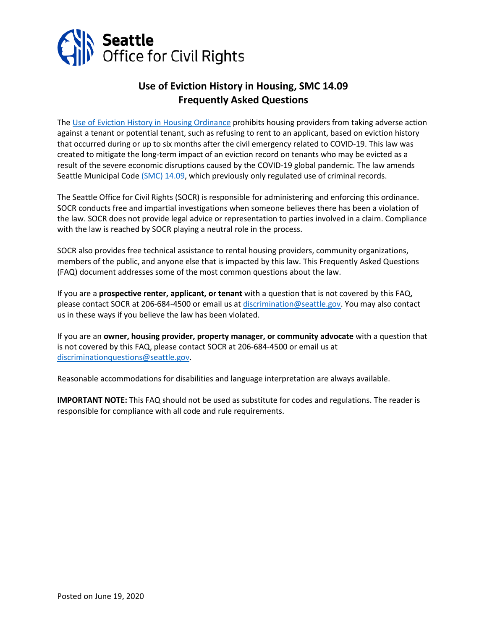

# **Use of Eviction History in Housing, SMC 14.09 Frequently Asked Questions**

The [Use of Eviction History](https://seattle.legistar.com/View.ashx?M=F&ID=8562248&GUID=E0E956F7-331D-4021-9EAE-477B127B5726) in Housing Ordinance prohibits housing providers from taking adverse action against a tenant or potential tenant, such as refusing to rent to an applicant, based on eviction history that occurred during or up to six months after the civil emergency related to COVID-19. This law was created to mitigate the long-term impact of an eviction record on tenants who may be evicted as a result of the severe economic disruptions caused by the COVID-19 global pandemic. The law amends [Seattle Municipal Code](https://library.municode.com/wa/seattle/codes/municipal_code?nodeId=TIT14HURI_CH14.09USCRREHO) (SMC) 14.09, which previously only regulated use of criminal records.

The Seattle Office for Civil Rights (SOCR) is responsible for administering and enforcing this ordinance. SOCR conducts free and impartial investigations when someone believes there has been a violation of the law. SOCR does not provide legal advice or representation to parties involved in a claim. Compliance with the law is reached by SOCR playing a neutral role in the process.

SOCR also provides free technical assistance to rental housing providers, community organizations, members of the public, and anyone else that is impacted by this law. This Frequently Asked Questions (FAQ) document addresses some of the most common questions about the law.

If you are a **prospective renter, applicant, or tenant** with a question that is not covered by this FAQ, please contact SOCR at 206-684-4500 or email us a[t discrimination@seattle.gov.](mailto:discrimination@seattle.gov) You may also contact us in these ways if you believe the law has been violated.

If you are an **owner, housing provider, property manager, or community advocate** with a question that is not covered by this FAQ, please contact SOCR at 206-684-4500 or email us at [discriminationquestions@seattle.gov.](mailto:discriminationquestions@seattle.gov)

Reasonable accommodations for disabilities and language interpretation are always available.

**IMPORTANT NOTE:** This FAQ should not be used as substitute for codes and regulations. The reader is responsible for compliance with all code and rule requirements.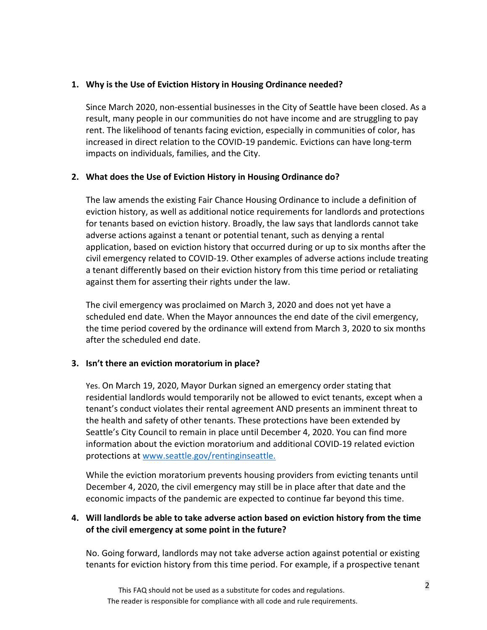#### **1. Why is the Use of Eviction History in Housing Ordinance needed?**

Since March 2020, non-essential businesses in the City of Seattle have been closed. As a result, many people in our communities do not have income and are struggling to pay rent. The likelihood of tenants facing eviction, especially in communities of color, has increased in direct relation to the COVID-19 pandemic. Evictions can have long-term impacts on individuals, families, and the City.

#### **2. What does the Use of Eviction History in Housing Ordinance do?**

The law amends the existing Fair Chance Housing Ordinance to include a definition of eviction history, as well as additional notice requirements for landlords and protections for tenants based on eviction history. Broadly, the law says that landlords cannot take adverse actions against a tenant or potential tenant, such as denying a rental application, based on eviction history that occurred during or up to six months after the civil emergency related to COVID-19. Other examples of adverse actions include treating a tenant differently based on their eviction history from this time period or retaliating against them for asserting their rights under the law.

The civil emergency was proclaimed on March 3, 2020 and does not yet have a scheduled end date. When the Mayor announces the end date of the civil emergency, the time period covered by the ordinance will extend from March 3, 2020 to six months after the scheduled end date.

# **3. Isn't there an eviction moratorium in place?**

Yes. On March 19, 2020, Mayor Durkan signed an emergency order stating that residential landlords would temporarily not be allowed to evict tenants, except when a tenant's conduct violates their rental agreement AND presents an imminent threat to the health and safety of other tenants. These protections have been extended by Seattle's City Council to remain in place until December 4, 2020. You can find more information about the eviction moratorium and additional COVID-19 related eviction protections at [www.seattle.gov/rentinginseattle.](http://www.seattle.gov/rentinginseattle)

While the eviction moratorium prevents housing providers from evicting tenants until December 4, 2020, the civil emergency may still be in place after that date and the economic impacts of the pandemic are expected to continue far beyond this time.

# **4. Will landlords be able to take adverse action based on eviction history from the time of the civil emergency at some point in the future?**

No. Going forward, landlords may not take adverse action against potential or existing tenants for eviction history from this time period. For example, if a prospective tenant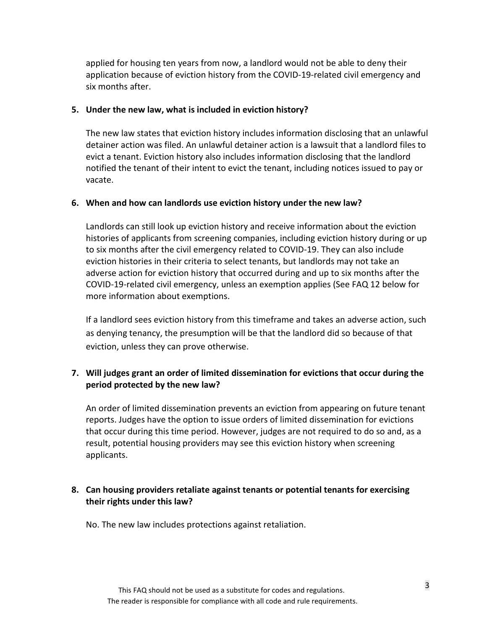applied for housing ten years from now, a landlord would not be able to deny their application because of eviction history from the COVID-19-related civil emergency and six months after.

#### **5. Under the new law, what is included in eviction history?**

The new law states that eviction history includes information disclosing that an unlawful detainer action was filed. An unlawful detainer action is a lawsuit that a landlord files to evict a tenant. Eviction history also includes information disclosing that the landlord notified the tenant of their intent to evict the tenant, including notices issued to pay or vacate.

#### **6. When and how can landlords use eviction history under the new law?**

Landlords can still look up eviction history and receive information about the eviction histories of applicants from screening companies, including eviction history during or up to six months after the civil emergency related to COVID-19. They can also include eviction histories in their criteria to select tenants, but landlords may not take an adverse action for eviction history that occurred during and up to six months after the COVID-19-related civil emergency, unless an exemption applies (See FAQ 12 below for more information about exemptions.

If a landlord sees eviction history from this timeframe and takes an adverse action, such as denying tenancy, the presumption will be that the landlord did so because of that eviction, unless they can prove otherwise.

# **7. Will judges grant an order of limited dissemination for evictions that occur during the period protected by the new law?**

An order of limited dissemination prevents an eviction from appearing on future tenant reports. Judges have the option to issue orders of limited dissemination for evictions that occur during this time period. However, judges are not required to do so and, as a result, potential housing providers may see this eviction history when screening applicants.

# **8. Can housing providers retaliate against tenants or potential tenants for exercising their rights under this law?**

No. The new law includes protections against retaliation.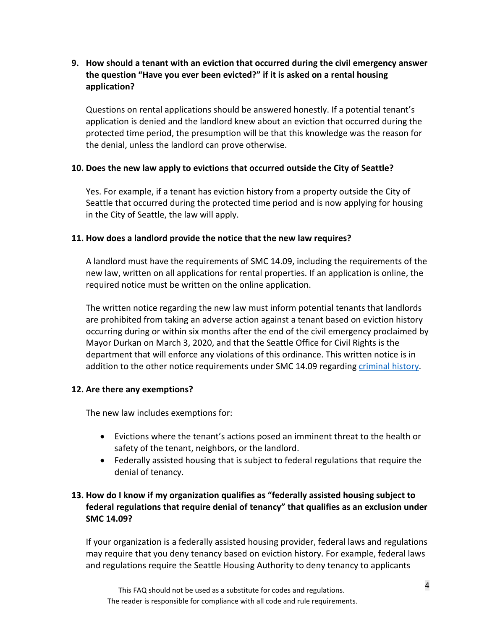# **9. How should a tenant with an eviction that occurred during the civil emergency answer the question "Have you ever been evicted?" if it is asked on a rental housing application?**

Questions on rental applications should be answered honestly. If a potential tenant's application is denied and the landlord knew about an eviction that occurred during the protected time period, the presumption will be that this knowledge was the reason for the denial, unless the landlord can prove otherwise.

# **10. Does the new law apply to evictions that occurred outside the City of Seattle?**

Yes. For example, if a tenant has eviction history from a property outside the City of Seattle that occurred during the protected time period and is now applying for housing in the City of Seattle, the law will apply.

# **11. How does a landlord provide the notice that the new law requires?**

A landlord must have the requirements of SMC 14.09, including the requirements of the new law, written on all applications for rental properties. If an application is online, the required notice must be written on the online application.

The written notice regarding the new law must inform potential tenants that landlords are prohibited from taking an adverse action against a tenant based on eviction history occurring during or within six months after the end of the civil emergency proclaimed by Mayor Durkan on March 3, 2020, and that the Seattle Office for Civil Rights is the department that will enforce any violations of this ordinance. This written notice is in addition to the other notice requirements under SMC 14.09 regarding [criminal history.](https://www.seattle.gov/Documents/Departments/CivilRights/Fair%20Housing/Fair%20Chance%20Housing%20FAQ_amendments_FINAL_08-23-18.pdf)

# **12. Are there any exemptions?**

The new law includes exemptions for:

- Evictions where the tenant's actions posed an imminent threat to the health or safety of the tenant, neighbors, or the landlord.
- Federally assisted housing that is subject to federal regulations that require the denial of tenancy.

# **13. How do I know if my organization qualifies as "federally assisted housing subject to federal regulations that require denial of tenancy" that qualifies as an exclusion under SMC 14.09?**

If your organization is a federally assisted housing provider, federal laws and regulations may require that you deny tenancy based on eviction history. For example, federal laws and regulations require the Seattle Housing Authority to deny tenancy to applicants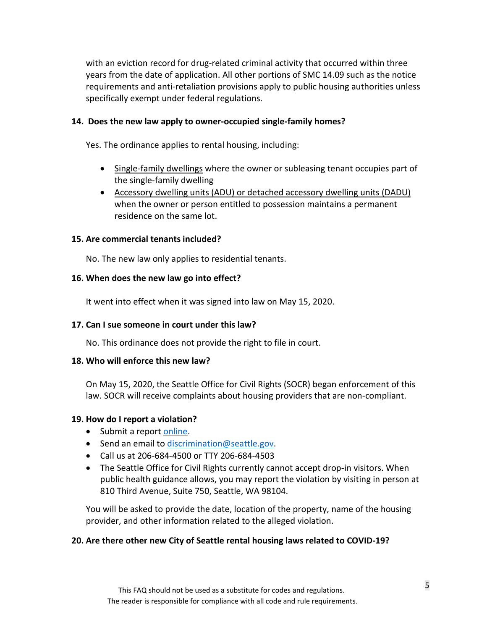with an eviction record for drug-related criminal activity that occurred within three years from the date of application. All other portions of SMC 14.09 such as the notice requirements and anti-retaliation provisions apply to public housing authorities unless specifically exempt under federal regulations.

#### **14. Does the new law apply to owner-occupied single-family homes?**

Yes. The ordinance applies to rental housing, including:

- Single-family dwellings where the owner or subleasing tenant occupies part of the single-family dwelling
- Accessory dwelling units (ADU) or detached accessory dwelling units (DADU) when the owner or person entitled to possession maintains a permanent residence on the same lot.

#### **15. Are commercial tenants included?**

No. The new law only applies to residential tenants.

#### **16. When does the new law go into effect?**

It went into effect when it was signed into law on May 15, 2020.

#### **17. Can I sue someone in court under this law?**

No. This ordinance does not provide the right to file in court.

#### **18. Who will enforce this new law?**

On May 15, 2020, the Seattle Office for Civil Rights (SOCR) began enforcement of this law. SOCR will receive complaints about housing providers that are non-compliant.

# **19. How do I report a violation?**

- Submit a report [online.](https://seattle-cr.entellitrak.com/etk-seattle-cr-prod/page.request.do?page=page.form.intake.questionnaire)
- Send an email to [discrimination@seattle.gov.](mailto:discrimination@seattle.gov)
- Call us at 206-684-4500 or TTY 206-684-4503
- The Seattle Office for Civil Rights currently cannot accept drop-in visitors. When public health guidance allows, you may report the violation by visiting in person at 810 Third Avenue, Suite 750, Seattle, WA 98104.

You will be asked to provide the date, location of the property, name of the housing provider, and other information related to the alleged violation.

# **20. Are there other new City of Seattle rental housing laws related to COVID-19?**